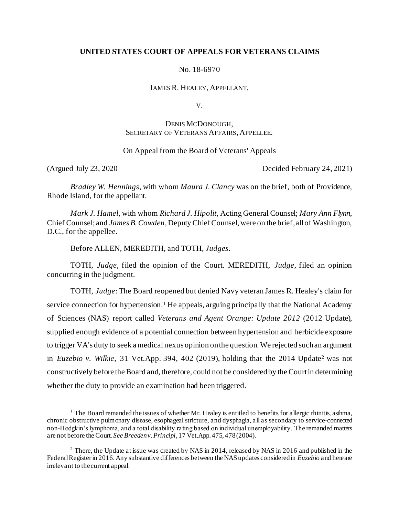# **UNITED STATES COURT OF APPEALS FOR VETERANS CLAIMS**

No. 18-6970

JAMES R. HEALEY, APPELLANT,

V.

# DENIS MCDONOUGH, SECRETARY OF VETERANS AFFAIRS, APPELLEE.

# On Appeal from the Board of Veterans' Appeals

(Argued July 23, 2020 Decided February 24, 2021)

*Bradley W. Hennings*, with whom *Maura J. Clancy* was on the brief, both of Providence, Rhode Island, for the appellant.

*Mark J. Hamel*, with whom *Richard J. Hipolit*, Acting General Counsel; *Mary Ann Flynn*, Chief Counsel; and *James B. Cowden*, Deputy Chief Counsel, were on the brief, all of Washington, D.C., for the appellee.

Before ALLEN, MEREDITH, and TOTH, *Judges*.

TOTH, *Judge*, filed the opinion of the Court. MEREDITH, *Judge*, filed an opinion concurring in the judgment.

TOTH, *Judge*: The Board reopened but denied Navy veteran James R. Healey's claim for service connection for hypertension.<sup>1</sup> He appeals, arguing principally that the National Academy of Sciences (NAS) report called *Veterans and Agent Orange: Update 2012* (2012 Update), supplied enough evidence of a potential connection between hypertension and herbicide exposure to trigger VA's duty to seek a medical nexus opinion on the question. We rejected such an argument in *Euzebio v. Wilkie*, 31 Vet.App. 394, 402 (2019), holding that the 2014 Update<sup>2</sup> was not constructively before the Board and, therefore, could not be consideredby the Court in determining whether the duty to provide an examination had been triggered.

<sup>&</sup>lt;sup>1</sup> The Board remanded the issues of whether Mr. Healey is entitled to benefits for allergic rhinitis, asthma, chronic obstructive pulmonary disease, esophageal stricture, and dysphagia, all as secondary to service-connected non-Hodgkin's lymphoma, and a total disability rating based on individual unemployability. The remanded matters are not before the Court. *See Breeden v. Principi*, 17 Vet.App. 475, 478 (2004).

 $2$  There, the Update at issue was created by NAS in 2014, released by NAS in 2016 and published in the Federal Register in 2016. Any substantive differences between the NAS updates considered in *Euzebio* and here are irrelevant to the current appeal.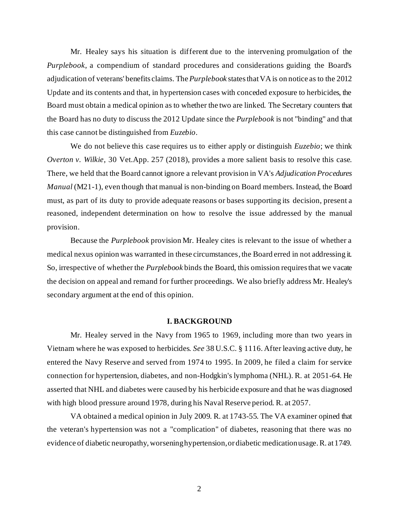Mr. Healey says his situation is different due to the intervening promulgation of the *Purplebook*, a compendium of standard procedures and considerations guiding the Board's adjudication of veterans' benefits claims. The *Purplebook* states that VA is on notice as to the 2012 Update and its contents and that, in hypertension cases with conceded exposure to herbicides, the Board must obtain a medical opinion as to whether the two are linked. The Secretary counters that the Board has no duty to discuss the 2012 Update since the *Purplebook* is not "binding" and that this case cannot be distinguished from *Euzebio*.

We do not believe this case requires us to either apply or distinguish *Euzebio*; we think *Overton v. Wilkie*, 30 Vet.App. 257 (2018), provides a more salient basis to resolve this case. There, we held that the Board cannot ignore a relevant provision in VA's *Adjudication Procedures Manual* (M21-1), even though that manual is non-binding on Board members. Instead, the Board must, as part of its duty to provide adequate reasons or bases supporting its decision, present a reasoned, independent determination on how to resolve the issue addressed by the manual provision.

Because the *Purplebook* provision Mr. Healey cites is relevant to the issue of whether a medical nexus opinion was warranted in these circumstances, the Board erred in not addressing it. So, irrespective of whether the *Purplebook* binds the Board, this omission requires that we vacate the decision on appeal and remand for further proceedings. We also briefly address Mr. Healey's secondary argument at the end of this opinion.

#### **I. BACKGROUND**

Mr. Healey served in the Navy from 1965 to 1969, including more than two years in Vietnam where he was exposed to herbicides. *See* 38 U.S.C. § 1116. After leaving active duty, he entered the Navy Reserve and served from 1974 to 1995. In 2009, he filed a claim for service connection for hypertension, diabetes, and non-Hodgkin's lymphoma (NHL). R. at 2051-64. He asserted that NHL and diabetes were caused by his herbicide exposure and that he was diagnosed with high blood pressure around 1978, during his Naval Reserve period. R. at 2057.

VA obtained a medical opinion in July 2009. R. at 1743-55. The VA examiner opined that the veteran's hypertension was not a "complication" of diabetes, reasoning that there was no evidence of diabetic neuropathy, worsening hypertension, or diabetic medication usage. R. at 1749.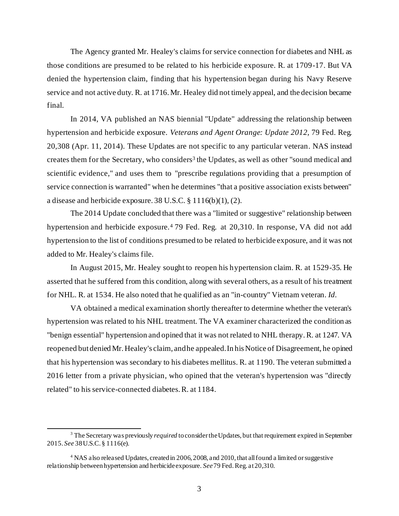The Agency granted Mr. Healey's claims for service connection for diabetes and NHL as those conditions are presumed to be related to his herbicide exposure. R. at 1709-17. But VA denied the hypertension claim, finding that his hypertension began during his Navy Reserve service and not active duty. R. at 1716. Mr. Healey did not timely appeal, and the decision became final.

In 2014, VA published an NAS biennial "Update" addressing the relationship between hypertension and herbicide exposure. *Veterans and Agent Orange: Update 2012*, 79 Fed. Reg. 20,308 (Apr. 11, 2014). These Updates are not specific to any particular veteran. NAS instead creates them for the Secretary, who considers<sup>3</sup> the Updates, as well as other "sound medical and scientific evidence," and uses them to "prescribe regulations providing that a presumption of service connection is warranted" when he determines "that a positive association exists between" a disease and herbicide exposure. 38 U.S.C. § 1116(b)(1), (2).

The 2014 Update concluded that there was a "limited or suggestive" relationship between hypertension and herbicide exposure.<sup>4</sup> 79 Fed. Reg. at 20,310. In response, VA did not add hypertension to the list of conditions presumed to be related to herbicide exposure, and it was not added to Mr. Healey's claims file.

In August 2015, Mr. Healey sought to reopen his hypertension claim. R. at 1529-35. He asserted that he suffered from this condition, along with several others, as a result of his treatment for NHL. R. at 1534. He also noted that he qualified as an "in-country" Vietnam veteran. *Id.*

VA obtained a medical examination shortly thereafter to determine whether the veteran's hypertension was related to his NHL treatment. The VA examiner characterized the condition as "benign essential" hypertension and opined that it was not related to NHL therapy. R. at 1247. VA reopened but denied Mr. Healey's claim, and he appealed. In his Notice of Disagreement, he opined that his hypertension was secondary to his diabetes mellitus. R. at 1190. The veteran submitted a 2016 letter from a private physician, who opined that the veteran's hypertension was "directly related" to his service-connected diabetes. R. at 1184.

<sup>&</sup>lt;sup>3</sup> The Secretary was previously *required* to consider the Updates, but that requirement expired in September 2015. *See* 38 U.S.C. § 1116(e).

<sup>4</sup> NAS also released Updates, created in 2006, 2008, and 2010, that all found a limited or suggestive relationship between hypertension and herbicide exposure. *See*79 Fed. Reg. at 20,310.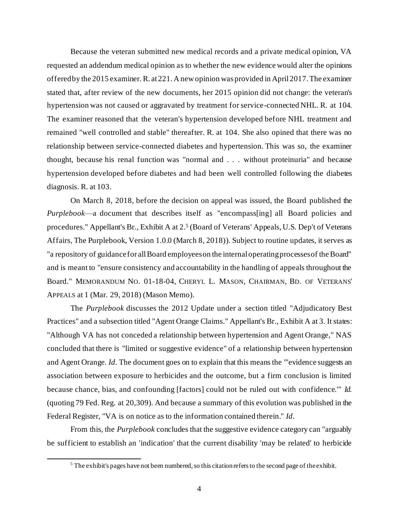Because the veteran submitted new medical records and a private medical opinion, VA requested an addendum medical opinion as to whether the new evidence would alter the opinions offered by the 2015 examiner. R. at 221. A new opinion was provided in April 2017. The examiner stated that, after review of the new documents, her 2015 opinion did not change: the veteran's hypertension was not caused or aggravated by treatment for service-connected NHL. R. at 104. The examiner reasoned that the veteran's hypertension developed before NHL treatment and remained "well controlled and stable" thereafter. R. at 104. She also opined that there was no relationship between service-connected diabetes and hypertension. This was so, the examiner thought, because his renal function was "normal and . . . without proteinuria" and because hypertension developed before diabetes and had been well controlled following the diabetes diagnosis. R. at 103.

On March 8, 2018, before the decision on appeal was issued, the Board published the *Purplebook*—a document that describes itself as "encompass[ing] all Board policies and procedures." Appellant's Br., Exhibit A at 2.<sup>5</sup> (Board of Veterans' Appeals, U.S. Dep't of Veterans Affairs, The Purplebook, Version 1.0.0 (March 8, 2018)). Subject to routine updates, it serves as "a repository of guidance for all Board employees on the internal operating processes of the Board" and is meant to "ensure consistency and accountability in the handling of appeals throughout the Board." MEMORANDUM NO. 01-18-04, CHERYL L. MASON, CHAIRMAN, BD. OF VETERANS' APPEALS at 1 (Mar. 29, 2018) (Mason Memo).

The *Purplebook* discusses the 2012 Update under a section titled "Adjudicatory Best Practices" and a subsection titled "Agent Orange Claims." Appellant's Br., Exhibit A at 3. It states: "Although VA has not conceded a relationship between hypertension and Agent Orange," NAS concluded that there is "limited or suggestive evidence" of a relationship between hypertension and Agent Orange. *Id.* The document goes on to explain that this means the "'evidence suggests an association between exposure to herbicides and the outcome, but a firm conclusion is limited because chance, bias, and confounding [factors] could not be ruled out with confidence.'" *Id.*  (quoting 79 Fed. Reg. at 20,309). And because a summary of this evolution was published in the Federal Register, "VA is on notice as to the information contained therein." *Id.*

From this, the *Purplebook* concludes that the suggestive evidence category can "arguably be sufficient to establish an 'indication' that the current disability 'may be related' to herbicide

<sup>&</sup>lt;sup>5</sup> The exhibit's pages have not been numbered, so this citation refers to the second page of the exhibit.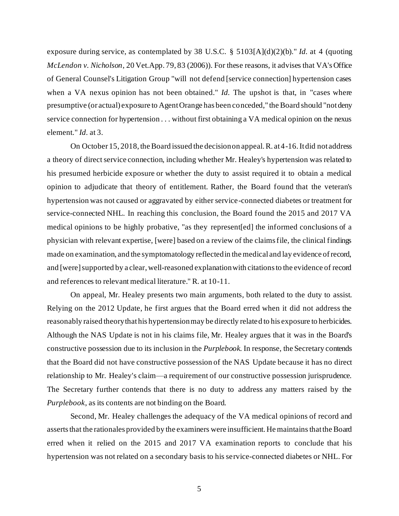exposure during service, as contemplated by 38 U.S.C. § 5103[A](d)(2)(b)." *Id.* at 4 (quoting *McLendon v. Nicholson*, 20 Vet.App. 79, 83 (2006)). For these reasons, it advises that VA's Office of General Counsel's Litigation Group "will not defend [service connection] hypertension cases when a VA nexus opinion has not been obtained." *Id.* The upshot is that, in "cases where presumptive (or actual) exposure to Agent Orange has been conceded," the Board should "not deny service connection for hypertension . . . without first obtaining a VA medical opinion on the nexus element." *Id.* at 3.

On October 15, 2018, the Board issued the decision on appeal. R. at 4-16. It did not address a theory of direct service connection, including whether Mr. Healey's hypertension was related to his presumed herbicide exposure or whether the duty to assist required it to obtain a medical opinion to adjudicate that theory of entitlement. Rather, the Board found that the veteran's hypertension was not caused or aggravated by either service-connected diabetes or treatment for service-connected NHL. In reaching this conclusion, the Board found the 2015 and 2017 VA medical opinions to be highly probative, "as they represent[ed] the informed conclusions of a physician with relevant expertise, [were] based on a review of the claims file, the clinical findings made on examination, and the symptomatology reflected in the medical and lay evidence of record, and [were] supported by a clear, well-reasoned explanation with citations to the evidence of record and references to relevant medical literature." R. at 10-11.

On appeal, Mr. Healey presents two main arguments, both related to the duty to assist. Relying on the 2012 Update, he first argues that the Board erred when it did not address the reasonably raised theory that his hypertension may be directly related to his exposure to herbicides. Although the NAS Update is not in his claims file, Mr. Healey argues that it was in the Board's constructive possession due to its inclusion in the *Purplebook*. In response, the Secretary contends that the Board did not have constructive possession of the NAS Update because it has no direct relationship to Mr. Healey's claim—a requirement of our constructive possession jurisprudence. The Secretary further contends that there is no duty to address any matters raised by the *Purplebook*, as its contents are not binding on the Board.

Second, Mr. Healey challenges the adequacy of the VA medical opinions of record and asserts that the rationales provided by the examiners were insufficient. He maintains that the Board erred when it relied on the 2015 and 2017 VA examination reports to conclude that his hypertension was not related on a secondary basis to his service-connected diabetes or NHL. For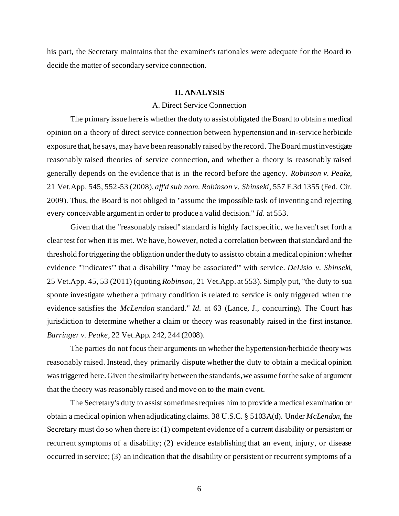his part, the Secretary maintains that the examiner's rationales were adequate for the Board to decide the matter of secondary service connection.

#### **II. ANALYSIS**

## A. Direct Service Connection

The primary issue here is whether the duty to assist obligated the Board to obtain a medical opinion on a theory of direct service connection between hypertension and in-service herbicide exposure that, he says, may have been reasonably raised by the record. The Board must investigate reasonably raised theories of service connection, and whether a theory is reasonably raised generally depends on the evidence that is in the record before the agency. *Robinson v. Peake*, 21 Vet.App. 545, 552-53 (2008), *aff'd sub nom. Robinson v. Shinseki*, 557 F.3d 1355 (Fed. Cir. 2009). Thus, the Board is not obliged to "assume the impossible task of inventing and rejecting every conceivable argument in order to produce a valid decision." *Id.* at 553.

Given that the "reasonably raised" standard is highly fact specific, we haven't set forth a clear test for when it is met. We have, however, noted a correlation between that standard and the threshold for triggering the obligation under the duty to assist to obtain a medical opinion: whether evidence "'indicates'" that a disability "'may be associated'" with service. *DeLisio v. Shinseki*, 25 Vet.App. 45, 53 (2011) (quoting *Robinson*, 21 Vet.App. at 553). Simply put, "the duty to sua sponte investigate whether a primary condition is related to service is only triggered when the evidence satisfies the *McLendon* standard." *Id.* at 63 (Lance, J., concurring). The Court has jurisdiction to determine whether a claim or theory was reasonably raised in the first instance. *Barringer v. Peake*, 22 Vet.App. 242, 244 (2008).

The parties do not focus their arguments on whether the hypertension/herbicide theory was reasonably raised. Instead, they primarily dispute whether the duty to obtain a medical opinion was triggered here. Given the similarity between the standards, we assume for the sake of argument that the theory was reasonably raised and move on to the main event.

The Secretary's duty to assist sometimes requires him to provide a medical examination or obtain a medical opinion when adjudicating claims. 38 U.S.C. § 5103A(d). Under *McLendon*, the Secretary must do so when there is: (1) competent evidence of a current disability or persistent or recurrent symptoms of a disability; (2) evidence establishing that an event, injury, or disease occurred in service; (3) an indication that the disability or persistent or recurrent symptoms of a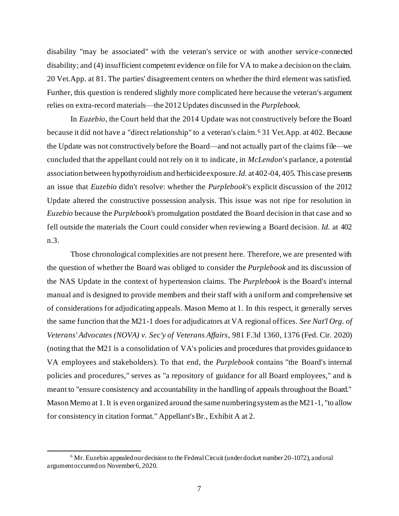disability "may be associated" with the veteran's service or with another service-connected disability; and (4) insufficient competent evidence on file for VA to make a decision on the claim. 20 Vet.App. at 81. The parties' disagreement centers on whether the third element was satisfied. Further, this question is rendered slightly more complicated here because the veteran's argument relies on extra-record materials—the 2012 Updates discussed in the *Purplebook*.

In *Euzebio*, the Court held that the 2014 Update was not constructively before the Board because it did not have a "direct relationship" to a veteran's claim. <sup>6</sup> 31 Vet.App. at 402. Because the Update was not constructively before the Board—and not actually part of the claims file—we concluded that the appellant could not rely on it to indicate, in *McLendon*'s parlance, a potential association between hypothyroidism and herbicide exposure. *Id.* at 402-04, 405. This case presents an issue that *Euzebio* didn't resolve: whether the *Purplebook*'s explicit discussion of the 2012 Update altered the constructive possession analysis. This issue was not ripe for resolution in *Euzebio* because the *Purplebook*'s promulgation postdated the Board decision in that case and so fell outside the materials the Court could consider when reviewing a Board decision*. Id.* at 402 n.3.

Those chronological complexities are not present here. Therefore, we are presented with the question of whether the Board was obliged to consider the *Purplebook* and its discussion of the NAS Update in the context of hypertension claims. The *Purplebook* is the Board's internal manual and is designed to provide members and their staff with a uniform and comprehensive set of considerations for adjudicating appeals. Mason Memo at 1. In this respect, it generally serves the same function that the M21-1 does for adjudicators at VA regional offices. *See Nat'l Org. of Veterans' Advocates (NOVA) v. Sec'y of Veterans Affairs*, 981 F.3d 1360, 1376 (Fed. Cir. 2020) (noting that the M21 is a consolidation of VA's policies and procedures that provides guidance to VA employees and stakeholders). To that end, the *Purplebook* contains "the Board's internal policies and procedures," serves as "a repository of guidance for all Board employees," and is meant to "ensure consistency and accountability in the handling of appeals throughout the Board." Mason Memo at 1. It is even organized around the same numbering system as the M21-1, "to allow for consistency in citation format." Appellant's Br., Exhibit A at 2.

<sup>&</sup>lt;sup>6</sup> Mr. Euzebio appealed our decision to the Federal Circuit (under docket number 20-1072), and oral argument occurred on November 6, 2020.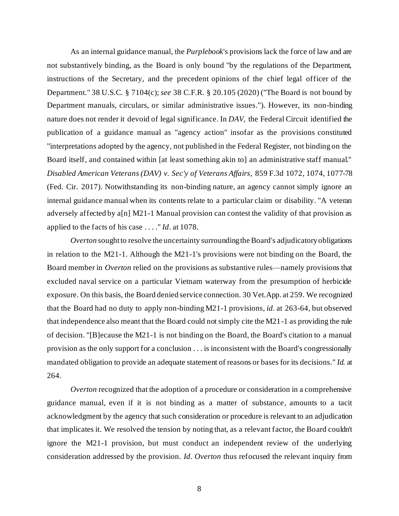As an internal guidance manual, the *Purplebook*'s provisions lack the force of law and are not substantively binding, as the Board is only bound "by the regulations of the Department, instructions of the Secretary, and the precedent opinions of the chief legal officer of the Department." 38 U.S.C. § 7104(c); *see* 38 C.F.R. § 20.105 (2020) ("The Board is not bound by Department manuals, circulars, or similar administrative issues."). However, its non-binding nature does not render it devoid of legal significance. In *DAV*, the Federal Circuit identified the publication of a guidance manual as "agency action" insofar as the provisions constituted "interpretations adopted by the agency, not published in the Federal Register, not binding on the Board itself, and contained within [at least something akin to] an administrative staff manual." *Disabled American Veterans (DAV) v. Sec'y of Veterans Affairs*, 859 F.3d 1072, 1074, 1077-78 (Fed. Cir. 2017). Notwithstanding its non-binding nature, an agency cannot simply ignore an internal guidance manual when its contents relate to a particular claim or disability. "A veteran adversely affected by a[n] M21-1 Manual provision can contest the validity of that provision as applied to the facts of his case . . . ." *Id*. at 1078.

*Overton* sought to resolve the uncertainty surrounding the Board's adjudicatory obligations in relation to the M21-1. Although the M21-1's provisions were not binding on the Board, the Board member in *Overton* relied on the provisions as substantive rules—namely provisions that excluded naval service on a particular Vietnam waterway from the presumption of herbicide exposure. On this basis, the Board denied service connection. 30 Vet.App. at 259. We recognized that the Board had no duty to apply non-binding M21-1 provisions, *id.* at 263-64, but observed that independence also meant that the Board could not simply cite the M21-1 as providing the rule of decision. "[B]ecause the M21-1 is not binding on the Board, the Board's citation to a manual provision as the only support for a conclusion . . . is inconsistent with the Board's congressionally mandated obligation to provide an adequate statement of reasons or bases for its decisions." *Id.* at 264.

*Overton* recognized that the adoption of a procedure or consideration in a comprehensive guidance manual, even if it is not binding as a matter of substance, amounts to a tacit acknowledgment by the agency that such consideration or procedure is relevant to an adjudication that implicates it. We resolved the tension by noting that, as a relevant factor, the Board couldn't ignore the M21-1 provision, but must conduct an independent review of the underlying consideration addressed by the provision. *Id*. *Overton* thus refocused the relevant inquiry from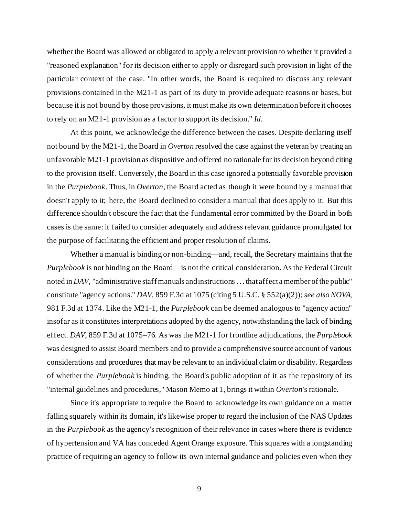whether the Board was allowed or obligated to apply a relevant provision to whether it provided a "reasoned explanation" for its decision either to apply or disregard such provision in light of the particular context of the case. "In other words, the Board is required to discuss any relevant provisions contained in the M21-1 as part of its duty to provide adequate reasons or bases, but because it is not bound by those provisions, it must make its own determination before it chooses to rely on an M21-1 provision as a factor to support its decision." *Id.*

At this point, we acknowledge the difference between the cases. Despite declaring itself not bound by the M21-1, the Board in *Overton* resolved the case against the veteran by treating an unfavorable M21-1 provision as dispositive and offered no rationale for its decision beyond citing to the provision itself. Conversely, the Board in this case ignored a potentially favorable provision in the *Purplebook*. Thus, in *Overton*, the Board acted as though it were bound by a manual that doesn't apply to it; here, the Board declined to consider a manual that does apply to it. But this difference shouldn't obscure the fact that the fundamental error committed by the Board in both cases is the same: it failed to consider adequately and address relevant guidance promulgated for the purpose of facilitating the efficient and proper resolution of claims.

Whether a manual is binding or non-binding—and, recall, the Secretary maintains that the *Purplebook* is not binding on the Board—is not the critical consideration. As the Federal Circuit noted in *DAV*, "administrative staff manuals and instructions . . . that affect a member of the public" constitute "agency actions." *DAV*, 859 F.3d at 1075 (citing 5 U.S.C. § 552(a)(2)); *see also NOVA*, 981 F.3d at 1374. Like the M21-1, the *Purplebook* can be deemed analogous to "agency action" insofar as it constitutes interpretations adopted by the agency, notwithstanding the lack of binding effect. *DAV*, 859 F.3d at 1075–76. As was the M21-1 for frontline adjudications, the *Purplebook* was designed to assist Board members and to provide a comprehensive source account of various considerations and procedures that may be relevant to an individual claim or disability. Regardless of whether the *Purplebook* is binding, the Board's public adoption of it as the repository of its "internal guidelines and procedures," Mason Memo at 1, brings it within *Overton*'s rationale.

Since it's appropriate to require the Board to acknowledge its own guidance on a matter falling squarely within its domain, it's likewise proper to regard the inclusion of the NAS Updates in the *Purplebook* as the agency's recognition of their relevance in cases where there is evidence of hypertension and VA has conceded Agent Orange exposure. This squares with a longstanding practice of requiring an agency to follow its own internal guidance and policies even when they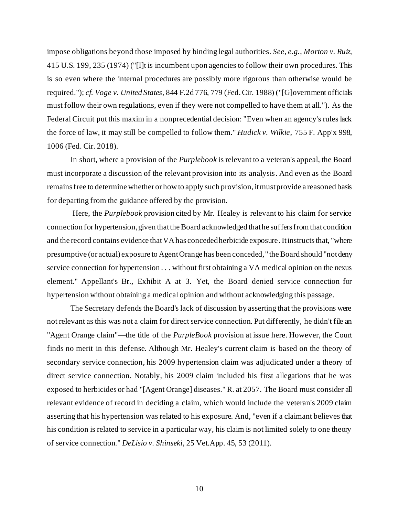impose obligations beyond those imposed by binding legal authorities. *See, e.g.*, *Morton v. Ruiz*, 415 U.S. 199, 235 (1974) ("[I]t is incumbent upon agencies to follow their own procedures. This is so even where the internal procedures are possibly more rigorous than otherwise would be required."); *cf. Voge v. United States*, 844 F.2d 776, 779 (Fed. Cir. 1988) ("[G]overnment officials must follow their own regulations, even if they were not compelled to have them at all."). As the Federal Circuit put this maxim in a nonprecedential decision: "Even when an agency's rules lack the force of law, it may still be compelled to follow them." *Hudick v. Wilkie*, 755 F. App'x 998, 1006 (Fed. Cir. 2018).

In short, where a provision of the *Purplebook* is relevant to a veteran's appeal, the Board must incorporate a discussion of the relevant provision into its analysis. And even as the Board remains free to determine whether or how to apply such provision, it must provide a reasoned basis for departing from the guidance offered by the provision.

Here, the *Purplebook* provision cited by Mr. Healey is relevant to his claim for service connection for hypertension, given that the Board acknowledged that he suffers from that condition and the record contains evidence that VA has conceded herbicide exposure. It instructs that, "where presumptive (or actual) exposure to Agent Orange has been conceded," the Board should "not deny service connection for hypertension . . . without first obtaining a VA medical opinion on the nexus element." Appellant's Br., Exhibit A at 3. Yet, the Board denied service connection for hypertension without obtaining a medical opinion and without acknowledging this passage.

The Secretary defends the Board's lack of discussion by asserting that the provisions were not relevant as this was not a claim for direct service connection. Put differently, he didn't file an "Agent Orange claim"—the title of the *PurpleBook* provision at issue here. However, the Court finds no merit in this defense. Although Mr. Healey's current claim is based on the theory of secondary service connection, his 2009 hypertension claim was adjudicated under a theory of direct service connection. Notably, his 2009 claim included his first allegations that he was exposed to herbicides or had "[Agent Orange] diseases." R. at 2057. The Board must consider all relevant evidence of record in deciding a claim, which would include the veteran's 2009 claim asserting that his hypertension was related to his exposure. And, "even if a claimant believes that his condition is related to service in a particular way, his claim is not limited solely to one theory of service connection." *DeLisio v. Shinseki*, 25 Vet.App. 45, 53 (2011).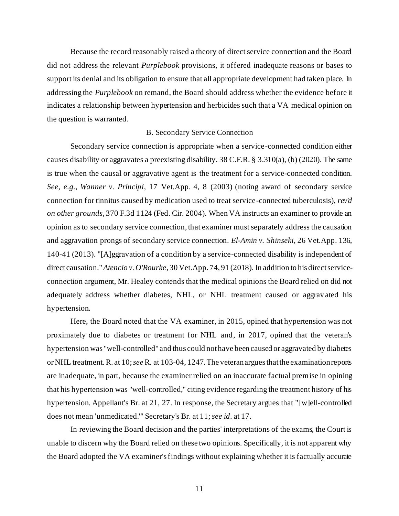Because the record reasonably raised a theory of direct service connection and the Board did not address the relevant *Purplebook* provisions, it offered inadequate reasons or bases to support its denial and its obligation to ensure that all appropriate development had taken place. In addressing the *Purplebook* on remand, the Board should address whether the evidence before it indicates a relationship between hypertension and herbicides such that a VA medical opinion on the question is warranted.

## B. Secondary Service Connection

Secondary service connection is appropriate when a service-connected condition either causes disability or aggravates a preexisting disability. 38 C.F.R. § 3.310(a), (b) (2020). The same is true when the causal or aggravative agent is the treatment for a service-connected condition. *See, e.g., Wanner v. Principi*, 17 Vet.App. 4, 8 (2003) (noting award of secondary service connection for tinnitus caused by medication used to treat service-connected tuberculosis), *rev'd on other grounds*, 370 F.3d 1124 (Fed. Cir. 2004). When VA instructs an examiner to provide an opinion as to secondary service connection, that examiner must separately address the causation and aggravation prongs of secondary service connection. *El-Amin v. Shinseki*, 26 Vet.App. 136, 140-41 (2013). "[A]ggravation of a condition by a service-connected disability is independent of direct causation." *Atencio v. O'Rourke*, 30 Vet.App. 74, 91 (2018). In addition to his direct serviceconnection argument, Mr. Healey contends that the medical opinions the Board relied on did not adequately address whether diabetes, NHL, or NHL treatment caused or aggrav ated his hypertension.

Here, the Board noted that the VA examiner, in 2015, opined that hypertension was not proximately due to diabetes or treatment for NHL and, in 2017, opined that the veteran's hypertension was "well-controlled" and thus could not have been caused or aggravated by diabetes or NHL treatment. R. at 10; *see*R. at 103-04, 1247. The veteran argues that the examination reports are inadequate, in part, because the examiner relied on an inaccurate factual premise in opining that his hypertension was "well-controlled," citing evidence regarding the treatment history of his hypertension. Appellant's Br. at 21, 27. In response, the Secretary argues that "[w]ell-controlled does not mean 'unmedicated.'" Secretary's Br. at 11;*see id*. at 17.

In reviewing the Board decision and the parties' interpretations of the exams, the Court is unable to discern why the Board relied on these two opinions. Specifically, it is not apparent why the Board adopted the VA examiner's findings without explaining whether it is factually accurate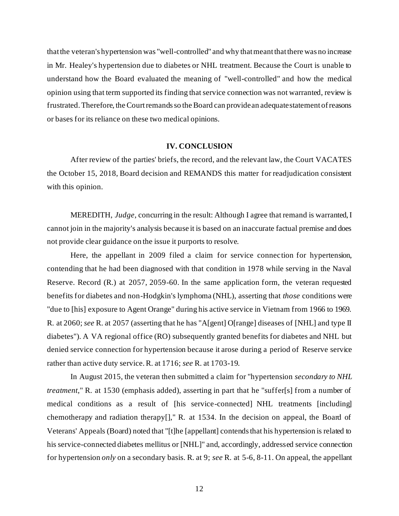that the veteran's hypertension was "well-controlled" and why that meant that there was no increase in Mr. Healey's hypertension due to diabetes or NHL treatment. Because the Court is unable to understand how the Board evaluated the meaning of "well-controlled" and how the medical opinion using that term supported its finding that service connection was not warranted, review is frustrated. Therefore, the Court remands so the Board can provide an adequate statement of reasons or bases for its reliance on these two medical opinions.

#### **IV. CONCLUSION**

After review of the parties' briefs, the record, and the relevant law, the Court VACATES the October 15, 2018, Board decision and REMANDS this matter for readjudication consistent with this opinion.

MEREDITH, *Judge*, concurring in the result: Although I agree that remand is warranted, I cannot join in the majority's analysis because it is based on an inaccurate factual premise and does not provide clear guidance on the issue it purports to resolve.

Here, the appellant in 2009 filed a claim for service connection for hypertension, contending that he had been diagnosed with that condition in 1978 while serving in the Naval Reserve. Record (R.) at 2057, 2059-60. In the same application form, the veteran requested benefits for diabetes and non-Hodgkin's lymphoma (NHL), asserting that *those* conditions were "due to [his] exposure to Agent Orange" during his active service in Vietnam from 1966 to 1969. R. at 2060; *see* R. at 2057 (asserting that he has "A[gent] O[range] diseases of [NHL] and type II diabetes"). A VA regional office (RO) subsequently granted benefits for diabetes and NHL but denied service connection for hypertension because it arose during a period of Reserve service rather than active duty service. R. at 1716; *see* R. at 1703-19.

In August 2015, the veteran then submitted a claim for "hypertension *secondary to NHL treatment*," R. at 1530 (emphasis added), asserting in part that he "suffer[s] from a number of medical conditions as a result of [his service-connected] NHL treatments [including] chemotherapy and radiation therapy[]," R. at 1534. In the decision on appeal, the Board of Veterans' Appeals (Board) noted that "[t]he [appellant] contends that his hypertension is related to his service-connected diabetes mellitus or [NHL]" and, accordingly, addressed service connection for hypertension *only* on a secondary basis. R. at 9; *see* R. at 5-6, 8-11. On appeal, the appellant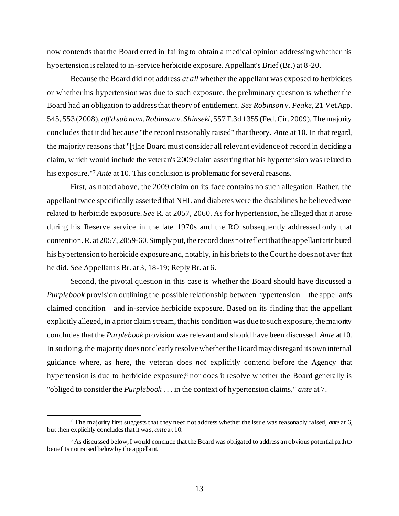now contends that the Board erred in failing to obtain a medical opinion addressing whether his hypertension is related to in-service herbicide exposure. Appellant's Brief (Br.) at 8-20.

Because the Board did not address *at all* whether the appellant was exposed to herbicides or whether his hypertension was due to such exposure, the preliminary question is whether the Board had an obligation to address that theory of entitlement. *See Robinson v. Peake*, 21 Vet.App. 545, 553 (2008), *aff'd sub nom. Robinson v. Shinseki*, 557 F.3d 1355 (Fed. Cir. 2009). The majority concludes that it did because "the record reasonably raised" that theory. *Ante* at 10. In that regard, the majority reasons that "[t]he Board must consider all relevant evidence of record in deciding a claim, which would include the veteran's 2009 claim asserting that his hypertension was related to his exposure."<sup>7</sup> *Ante* at 10. This conclusion is problematic for several reasons.

First, as noted above, the 2009 claim on its face contains no such allegation. Rather, the appellant twice specifically asserted that NHL and diabetes were the disabilities he believed were related to herbicide exposure. *See* R. at 2057, 2060. As for hypertension, he alleged that it arose during his Reserve service in the late 1970s and the RO subsequently addressed only that contention. R. at 2057, 2059-60. Simply put, the record does not reflect that the appellant attributed his hypertension to herbicide exposure and, notably, in his briefs to the Court he does not aver that he did. *See* Appellant's Br. at 3, 18-19; Reply Br. at 6.

Second, the pivotal question in this case is whether the Board should have discussed a *Purplebook* provision outlining the possible relationship between hypertension—the appellant's claimed condition—and in-service herbicide exposure. Based on its finding that the appellant explicitly alleged, in a prior claim stream, that his condition was due to such exposure, the majority concludes that the *Purplebook* provision was relevant and should have been discussed. *Ante* at 10. In so doing, the majority does not clearly resolve whether the Board may disregard its own internal guidance where, as here, the veteran does *not* explicitly contend before the Agency that hypertension is due to herbicide exposure; <sup>8</sup> nor does it resolve whether the Board generally is "obliged to consider the *Purplebook* . . . in the context of hypertension claims," *ante* at 7.

<sup>7</sup> The majority first suggests that they need not address whether the issue was reasonably raised, *ante* at 6, but then explicitly concludes that it was, *ante*at 10.

<sup>&</sup>lt;sup>8</sup> As discussed below, I would conclude that the Board was obligated to address an obvious potential path to benefits not raised below by the appellant.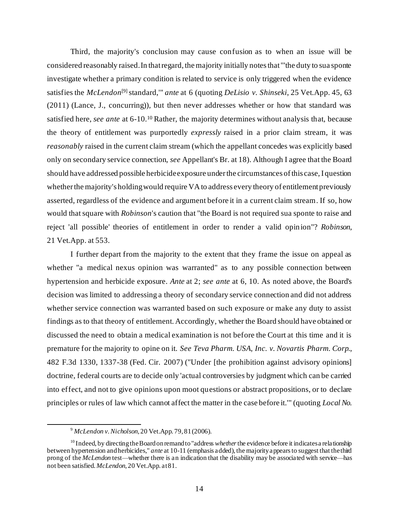Third, the majority's conclusion may cause confusion as to when an issue will be considered reasonably raised. In that regard, the majority initially notes that "'the duty to sua sponte investigate whether a primary condition is related to service is only triggered when the evidence satisfies the *McLendon*<sup>[9]</sup> standard," *ante* at 6 (quoting *DeLisio v. Shinseki*, 25 Vet.App. 45, 63 (2011) (Lance, J., concurring)), but then never addresses whether or how that standard was satisfied here, *see ante* at 6-10.<sup>10</sup> Rather, the majority determines without analysis that, because the theory of entitlement was purportedly *expressly* raised in a prior claim stream, it was *reasonably* raised in the current claim stream (which the appellant concedes was explicitly based only on secondary service connection, *see* Appellant's Br. at 18). Although I agree that the Board should have addressed possible herbicide exposure under the circumstances of this case, I question whether the majority's holding would require VA to address every theory of entitlement previously asserted, regardless of the evidence and argument before it in a current claim stream. If so, how would that square with *Robinson*'s caution that "the Board is not required sua sponte to raise and reject 'all possible' theories of entitlement in order to render a valid opin ion"? *Robinson*, 21 Vet.App. at 553.

I further depart from the majority to the extent that they frame the issue on appeal as whether "a medical nexus opinion was warranted" as to any possible connection between hypertension and herbicide exposure. *Ante* at 2; *see ante* at 6, 10. As noted above, the Board's decision was limited to addressing a theory of secondary service connection and did not address whether service connection was warranted based on such exposure or make any duty to assist findings as to that theory of entitlement. Accordingly, whether the Board should have obtained or discussed the need to obtain a medical examination is not before the Court at this time and it is premature for the majority to opine on it. *See Teva Pharm. USA, Inc. v. Novartis Pharm. Corp.*, 482 F.3d 1330, 1337-38 (Fed. Cir. 2007) ("Under [the prohibition against advisory opinions] doctrine, federal courts are to decide only 'actual controversies by judgment which can be carried into effect, and not to give opinions upon moot questions or abstract propositions, or to declare principles or rules of law which cannot affect the matter in the case before it.'" (quoting *Local No.* 

<sup>9</sup> *McLendon v. Nicholson*, 20 Vet.App. 79, 81 (2006).

<sup>10</sup> Indeed, by directing the Board on remand to "address *whether* the evidence before it indicates a relationship between hypertension and herbicides," *ante* at 10-11 (emphasis added), the majority appears to suggest that the third prong of the *McLendon* test—whether there is an indication that the disability may be associated with service—has not been satisfied. *McLendon*, 20 Vet.App. at 81.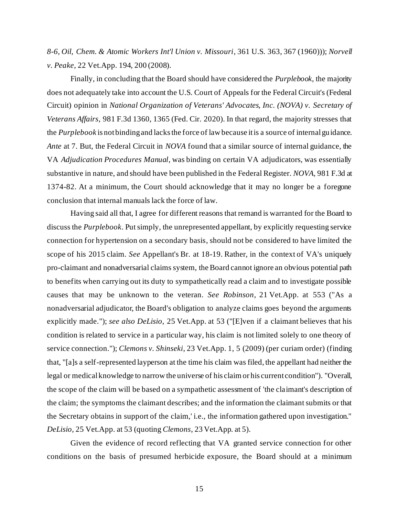*8-6, Oil, Chem. & Atomic Workers Int'l Union v. Missouri*, 361 U.S. 363, 367 (1960))); *Norvell v. Peake*, 22 Vet.App. 194, 200 (2008).

Finally, in concluding that the Board should have considered the *Purplebook*, the majority does not adequately take into account the U.S. Court of Appeals for the Federal Circuit's (Federal Circuit) opinion in *National Organization of Veterans' Advocates, Inc. (NOVA) v. Secretary of Veterans Affairs*, 981 F.3d 1360, 1365 (Fed. Cir. 2020). In that regard, the majority stresses that the *Purplebook* is not binding and lacks the force of law because it is a source of internal guidance. *Ante* at 7. But, the Federal Circuit in *NOVA* found that a similar source of internal guidance, the VA *Adjudication Procedures Manual*, was binding on certain VA adjudicators, was essentially substantive in nature, and should have been published in the Federal Register. *NOVA*, 981 F.3d at 1374-82. At a minimum, the Court should acknowledge that it may no longer be a foregone conclusion that internal manuals lack the force of law.

Having said all that, I agree for different reasons that remand is warranted for the Board to discuss the *Purplebook*. Put simply, the unrepresented appellant, by explicitly requesting service connection for hypertension on a secondary basis, should not be considered to have limited the scope of his 2015 claim. *See* Appellant's Br. at 18-19. Rather, in the context of VA's uniquely pro-claimant and nonadversarial claims system, the Board cannot ignore an obvious potential path to benefits when carrying out its duty to sympathetically read a claim and to investigate possible causes that may be unknown to the veteran. *See Robinson*, 21 Vet.App. at 553 ("As a nonadversarial adjudicator, the Board's obligation to analyze claims goes beyond the arguments explicitly made."); *see also DeLisio*, 25 Vet.App. at 53 ("[E]ven if a claimant believes that his condition is related to service in a particular way, his claim is not limited solely to one theory of service connection."); *Clemons v. Shinseki*, 23 Vet.App. 1, 5 (2009) (per curiam order) (finding that, "[a]s a self-represented layperson at the time his claim was filed, the appellant had neither the legal or medical knowledge to narrow the universe of his claim or his current condition"). "Overall, the scope of the claim will be based on a sympathetic assessment of 'the claimant's description of the claim; the symptoms the claimant describes; and the information the claimant submits or that the Secretary obtains in support of the claim,' i.e., the information gathered upon investigation." *DeLisio*, 25 Vet.App. at 53 (quoting *Clemons*, 23 Vet.App. at 5).

Given the evidence of record reflecting that VA granted service connection for other conditions on the basis of presumed herbicide exposure, the Board should at a minimum